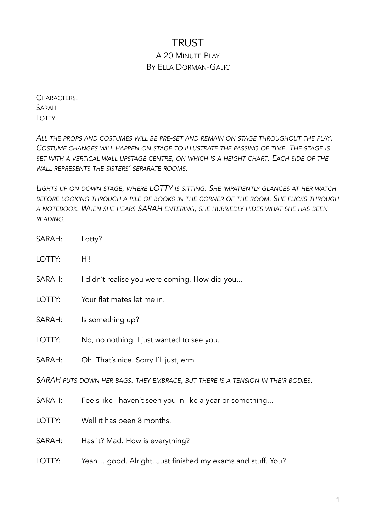## **TRUST** A 20 MINUTE PLAY BY ELLA DORMAN-GAJIC

CHARACTERS: **SARAH LOTTY** 

*ALL THE PROPS AND COSTUMES WILL BE PRE-SET AND REMAIN ON STAGE THROUGHOUT THE PLAY. COSTUME CHANGES WILL HAPPEN ON STAGE TO ILLUSTRATE THE PASSING OF TIME. THE STAGE IS SET WITH A VERTICAL WALL UPSTAGE CENTRE, ON WHICH IS A HEIGHT CHART. EACH SIDE OF THE WALL REPRESENTS THE SISTERS' SEPARATE ROOMS.*

*LIGHTS UP ON DOWN STAGE, WHERE LOTTY IS SITTING. SHE IMPATIENTLY GLANCES AT HER WATCH BEFORE LOOKING THROUGH A PILE OF BOOKS IN THE CORNER OF THE ROOM. SHE FLICKS THROUGH A NOTEBOOK. WHEN SHE HEARS SARAH ENTERING, SHE HURRIEDLY HIDES WHAT SHE HAS BEEN READING.* 

| SARAH:                                                                          | Lotty?                                                     |  |
|---------------------------------------------------------------------------------|------------------------------------------------------------|--|
| LOTTY:                                                                          | Hi!                                                        |  |
| SARAH:                                                                          | I didn't realise you were coming. How did you              |  |
| LOTTY:                                                                          | Your flat mates let me in.                                 |  |
| SARAH:                                                                          | Is something up?                                           |  |
| LOTTY:                                                                          | No, no nothing. I just wanted to see you.                  |  |
| SARAH:                                                                          | Oh. That's nice. Sorry I'll just, erm                      |  |
| SARAH PUTS DOWN HER BAGS. THEY EMBRACE, BUT THERE IS A TENSION IN THEIR BODIES. |                                                            |  |
| SARAH:                                                                          | Feels like I haven't seen you in like a year or something  |  |
| LOTTY:                                                                          | Well it has been 8 months.                                 |  |
| SARAH:                                                                          | Has it? Mad. How is everything?                            |  |
| LOTTY:                                                                          | Yeah good. Alright. Just finished my exams and stuff. You? |  |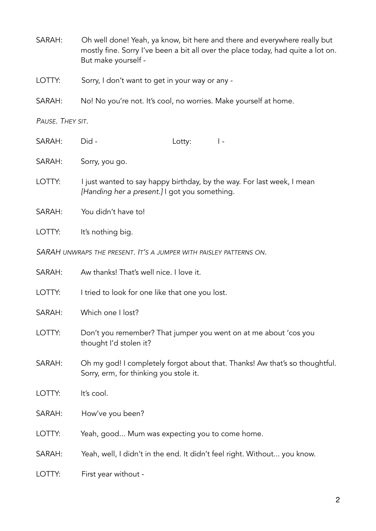SARAH: Oh well done! Yeah, ya know, bit here and there and everywhere really but mostly fine. Sorry I've been a bit all over the place today, had quite a lot on. But make yourself -

LOTTY: Sorry, I don't want to get in your way or any -

SARAH: No! No you're not. It's cool, no worries. Make yourself at home.

*PAUSE. THEY SIT.* 

SARAH: Did - Lotty: I -

SARAH: Sorry, you go.

LOTTY: I just wanted to say happy birthday, by the way. For last week, I mean *[Handing her a present.]* I got you something.

SARAH: You didn't have to!

LOTTY: It's nothing big.

*SARAH UNWRAPS THE PRESENT. IT'S A JUMPER WITH PAISLEY PATTERNS ON.* 

| SARAH: | Aw thanks! That's well nice. I love it.                                                                               |
|--------|-----------------------------------------------------------------------------------------------------------------------|
| LOTTY: | I tried to look for one like that one you lost.                                                                       |
| SARAH: | Which one I lost?                                                                                                     |
| LOTTY: | Don't you remember? That jumper you went on at me about 'cos you<br>thought I'd stolen it?                            |
| SARAH: | Oh my god! I completely forgot about that. Thanks! Aw that's so thoughtful.<br>Sorry, erm, for thinking you stole it. |
| LOTTY: | It's cool.                                                                                                            |
| SARAH: | How've you been?                                                                                                      |
| LOTTY: | Yeah, good Mum was expecting you to come home.                                                                        |
| SARAH: | Yeah, well, I didn't in the end. It didn't feel right. Without you know.                                              |
| LOTTY: | First year without -                                                                                                  |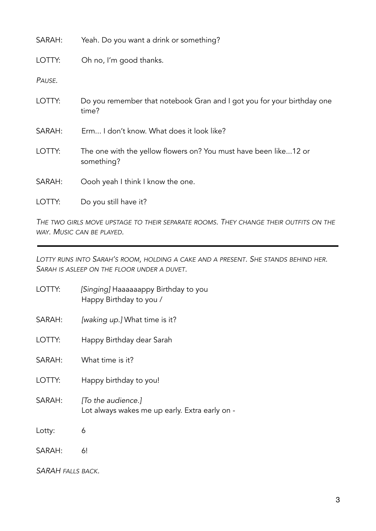SARAH: Yeah. Do you want a drink or something? LOTTY: Oh no, I'm good thanks. *PAUSE.*  LOTTY: Do you remember that notebook Gran and I got you for your birthday one time? SARAH: Erm... I don't know. What does it look like? LOTTY: The one with the yellow flowers on? You must have been like...12 or something? SARAH: Oooh yeah I think I know the one. LOTTY: Do you still have it?

*THE TWO GIRLS MOVE UPSTAGE TO THEIR SEPARATE ROOMS. THEY CHANGE THEIR OUTFITS ON THE WAY. MUSIC CAN BE PLAYED.*

*LOTTY RUNS INTO SARAH'S ROOM, HOLDING A CAKE AND A PRESENT. SHE STANDS BEHIND HER. SARAH IS ASLEEP ON THE FLOOR UNDER A DUVET.* 

| LOTTY:                   | [Singing] Haaaaaappy Birthday to you<br>Happy Birthday to you /      |
|--------------------------|----------------------------------------------------------------------|
| SARAH:                   | [waking up.] What time is it?                                        |
| LOTTY:                   | Happy Birthday dear Sarah                                            |
| SARAH:                   | What time is it?                                                     |
| LOTTY:                   | Happy birthday to you!                                               |
| SARAH:                   | [To the audience.]<br>Lot always wakes me up early. Extra early on - |
| Lotty:                   | 6                                                                    |
| SARAH:                   | 6!                                                                   |
| <b>SARAH FALLS BACK.</b> |                                                                      |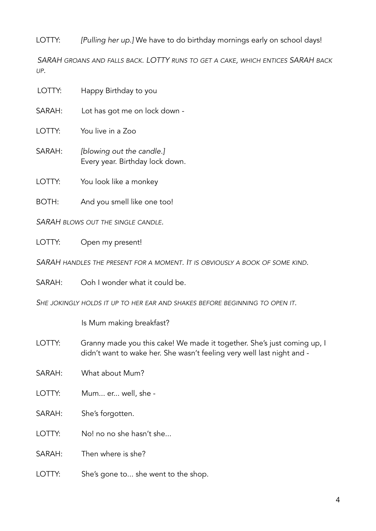## LOTTY: *[Pulling her up.]* We have to do birthday mornings early on school days!

*SARAH GROANS AND FALLS BACK. LOTTY RUNS TO GET A CAKE, WHICH ENTICES SARAH BACK UP.* 

| LOTTY: | Happy Birthday to you                                        |
|--------|--------------------------------------------------------------|
| SARAH: | Lot has got me on lock down -                                |
| LOTTY: | You live in a Zoo                                            |
| SARAH: | [blowing out the candle.]<br>Every year. Birthday lock down. |
| LOTTY: | You look like a monkey                                       |
| BOTH:  | And you smell like one too!                                  |

*SARAH BLOWS OUT THE SINGLE CANDLE.* 

LOTTY: Open my present!

*SARAH HANDLES THE PRESENT FOR A MOMENT. IT IS OBVIOUSLY A BOOK OF SOME KIND.* 

SARAH: Ooh I wonder what it could be.

*SHE JOKINGLY HOLDS IT UP TO HER EAR AND SHAKES BEFORE BEGINNING TO OPEN IT.* 

Is Mum making breakfast?

LOTTY: Granny made you this cake! We made it together. She's just coming up, I didn't want to wake her. She wasn't feeling very well last night and -

SARAH: What about Mum?

LOTTY: Mum... er... well, she -

SARAH: She's forgotten.

LOTTY: No! no no she hasn't she...

SARAH: Then where is she?

LOTTY: She's gone to... she went to the shop.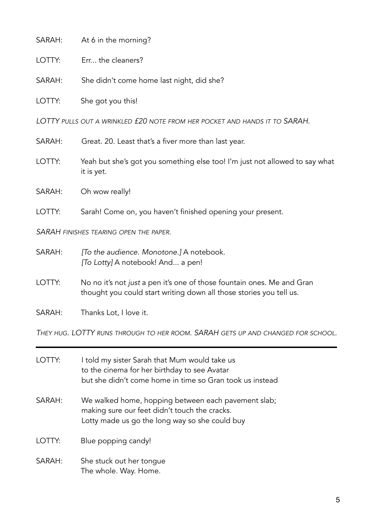| SARAH:                                 | At 6 in the morning?                                                                                                                          |  |
|----------------------------------------|-----------------------------------------------------------------------------------------------------------------------------------------------|--|
| LOTTY:                                 | Err the cleaners?                                                                                                                             |  |
| SARAH:                                 | She didn't come home last night, did she?                                                                                                     |  |
| LOTTY:                                 | She got you this!                                                                                                                             |  |
|                                        | LOTTY PULLS OUT A WRINKLED £20 NOTE FROM HER POCKET AND HANDS IT TO SARAH.                                                                    |  |
| SARAH:                                 | Great. 20. Least that's a fiver more than last year.                                                                                          |  |
| LOTTY:                                 | Yeah but she's got you something else too! I'm just not allowed to say what<br>it is yet.                                                     |  |
| SARAH:                                 | Oh wow really!                                                                                                                                |  |
| LOTTY:                                 | Sarah! Come on, you haven't finished opening your present.                                                                                    |  |
| SARAH FINISHES TEARING OPEN THE PAPER. |                                                                                                                                               |  |
| SARAH:                                 | [To the audience. Monotone.] A notebook.<br>[To Lotty] A notebook! And a pen!                                                                 |  |
| LOTTY:                                 | No no it's not just a pen it's one of those fountain ones. Me and Gran<br>thought you could start writing down all those stories you tell us. |  |
| SARAH:                                 | Thanks Lot, I love it.                                                                                                                        |  |
|                                        | THEY HUG. LOTTY RUNS THROUGH TO HER ROOM. SARAH GETS UP AND CHANGED FOR SCHOOL.                                                               |  |

| LOTTY: | I told my sister Sarah that Mum would take us<br>to the cinema for her birthday to see Avatar<br>but she didn't come home in time so Gran took us instead |
|--------|-----------------------------------------------------------------------------------------------------------------------------------------------------------|
| SARAH: | We walked home, hopping between each pavement slab;<br>making sure our feet didn't touch the cracks.<br>Lotty made us go the long way so she could buy    |
| LOTTY: | Blue popping candy!                                                                                                                                       |
| SARAH: | She stuck out her tongue<br>The whole. Way. Home.                                                                                                         |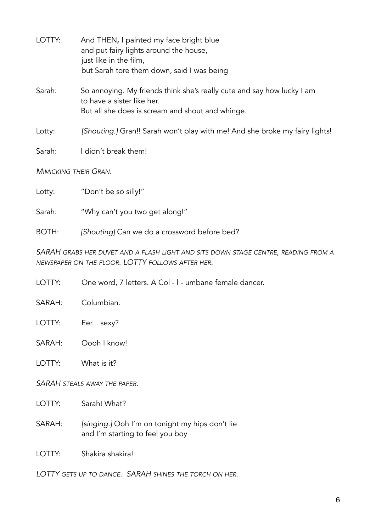LOTTY: And THEN, I painted my face bright blue and put fairy lights around the house, just like in the film, but Sarah tore them down, said I was being Sarah: So annoying. My friends think she's really cute and say how lucky I am to have a sister like her. But all she does is scream and shout and whinge. Lotty: [Shouting.] Gran!! Sarah won't play with me! And she broke my fairy lights!

Sarah: I didn't break them!

*MIMICKING THEIR GRAN.* 

Lotty: "Don't be so silly!"

Sarah: "Why can't you two get along!"

BOTH: *[Shouting]* Can we do a crossword before bed?

*SARAH GRABS HER DUVET AND A FLASH LIGHT AND SITS DOWN STAGE CENTRE, READING FROM A NEWSPAPER ON THE FLOOR. LOTTY FOLLOWS AFTER HER.* 

LOTTY: One word, 7 letters. A Col - I - umbane female dancer.

SARAH: Columbian.

LOTTY: Eer... sexy?

SARAH: Oooh I know!

LOTTY: What is it?

*SARAH STEALS AWAY THE PAPER.* 

LOTTY: Sarah! What?

SARAH: *[singing.]* Ooh I'm on tonight my hips don't lie and I'm starting to feel you boy

LOTTY: Shakira shakira!

*LOTTY GETS UP TO DANCE. SARAH SHINES THE TORCH ON HER.*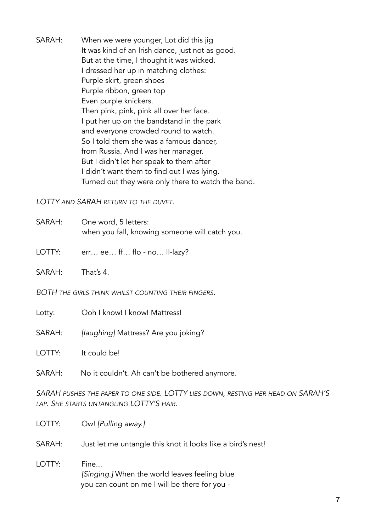SARAH: When we were younger, Lot did this jig It was kind of an Irish dance, just not as good. But at the time, I thought it was wicked. I dressed her up in matching clothes: Purple skirt, green shoes Purple ribbon, green top Even purple knickers. Then pink, pink, pink all over her face. I put her up on the bandstand in the park and everyone crowded round to watch. So I told them she was a famous dancer, from Russia. And I was her manager. But I didn't let her speak to them after I didn't want them to find out I was lying. Turned out they were only there to watch the band.

*LOTTY AND SARAH RETURN TO THE DUVET.* 

| SARAH: | One word, 5 letters:<br>when you fall, knowing someone will catch you. |
|--------|------------------------------------------------------------------------|
| LOTTY: | err ee ff flo - no II-lazy?                                            |
| SARAH: | That's 4.                                                              |
|        | BOTH the girls think whilst counting their fingers.                    |
| Lotty: | Ooh I know! I know! Mattress!                                          |
| SARAH: | [laughing] Mattress? Are you joking?                                   |
| LOTTY: | It could be!                                                           |
| SARAH: | No it couldn't. Ah can't be bothered anymore.                          |

*SARAH PUSHES THE PAPER TO ONE SIDE. LOTTY LIES DOWN, RESTING HER HEAD ON SARAH'S LAP. SHE STARTS UNTANGLING LOTTY'S HAIR.* 

LOTTY: Ow! *[Pulling away.]*

SARAH: Just let me untangle this knot it looks like a bird's nest!

LOTTY: Fine...  *[Singing.]* When the world leaves feeling blue you can count on me I will be there for you -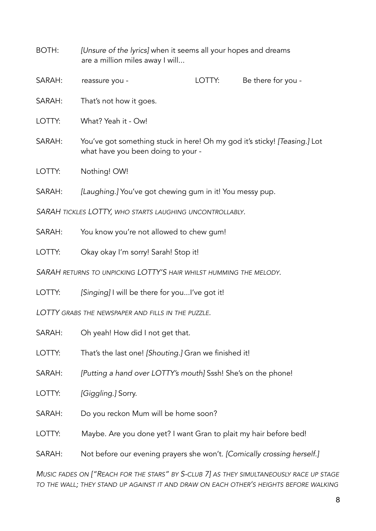BOTH: *[Unsure of the lyrics]* when it seems all your hopes and dreams are a million miles away I will...

SARAH: reassure you - The Management COTTY: Be there for you -

SARAH: That's not how it goes.

LOTTY: What? Yeah it - Ow!

SARAH: You've got something stuck in here! Oh my god it's sticky! *[Teasing.]* Lot what have you been doing to your -

LOTTY: Nothing! OW!

SARAH: *[Laughing.]* You've got chewing gum in it! You messy pup.

*SARAH TICKLES LOTTY, WHO STARTS LAUGHING UNCONTROLLABLY.* 

SARAH: You know you're not allowed to chew gum!

LOTTY: Okay okay I'm sorry! Sarah! Stop it!

*SARAH RETURNS TO UNPICKING LOTTY'S HAIR WHILST HUMMING THE MELODY.* 

LOTTY: [Singing] I will be there for you...I've got it!

*LOTTY GRABS THE NEWSPAPER AND FILLS IN THE PUZZLE.* 

SARAH: Oh yeah! How did I not get that.

LOTTY: That's the last one! *[Shouting.]* Gran we finished it!

SARAH: *[Putting a hand over LOTTY's mouth]* Sssh! She's on the phone!

LOTTY: *[Giggling.]* Sorry.

SARAH: Do you reckon Mum will be home soon?

LOTTY: Maybe. Are you done yet? I want Gran to plait my hair before bed!

SARAH: Not before our evening prayers she won't. *[Comically crossing herself.]*

*MUSIC FADES ON ["REACH FOR THE STARS" BY S-CLUB 7] AS THEY SIMULTANEOUSLY RACE UP STAGE TO THE WALL; THEY STAND UP AGAINST IT AND DRAW ON EACH OTHER'S HEIGHTS BEFORE WALKING*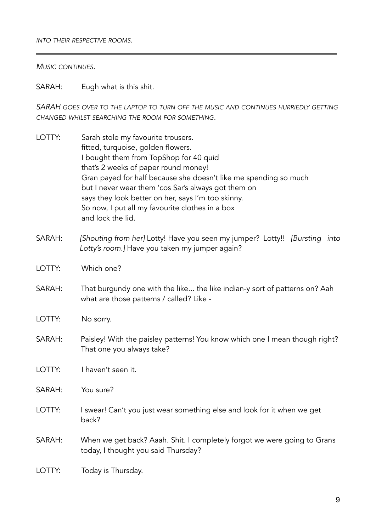## *MUSIC CONTINUES.*

SARAH: Eugh what is this shit.

*SARAH GOES OVER TO THE LAPTOP TO TURN OFF THE MUSIC AND CONTINUES HURRIEDLY GETTING CHANGED WHILST SEARCHING THE ROOM FOR SOMETHING.* 

LOTTY: Sarah stole my favourite trousers. fitted, turquoise, golden flowers. I bought them from TopShop for 40 quid that's 2 weeks of paper round money! Gran payed for half because she doesn't like me spending so much but I never wear them 'cos Sar's always got them on says they look better on her, says I'm too skinny. So now, I put all my favourite clothes in a box and lock the lid. SARAH: *[Shouting from her]* Lotty! Have you seen my jumper? Lotty!! *[Bursting into Lotty's room.]* Have you taken my jumper again? LOTTY: Which one? SARAH: That burgundy one with the like... the like indian-y sort of patterns on? Aah what are those patterns / called? Like - LOTTY: No sorry. SARAH: Paisley! With the paisley patterns! You know which one I mean though right? That one you always take? LOTTY: I haven't seen it. SARAH: You sure? LOTTY: I swear! Can't you just wear something else and look for it when we get back? SARAH: When we get back? Aaah. Shit. I completely forgot we were going to Grans today, I thought you said Thursday? LOTTY: Today is Thursday.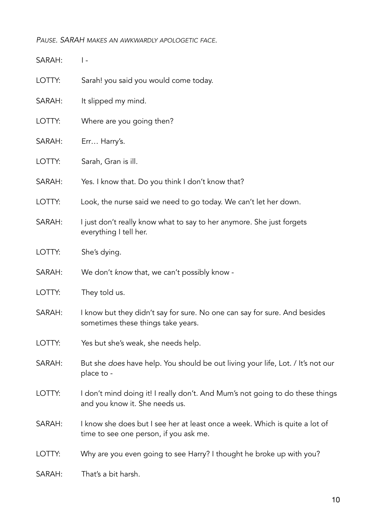## *PAUSE. SARAH MAKES AN AWKWARDLY APOLOGETIC FACE.*

| SARAH: | $\vert$ -                                                                                                             |
|--------|-----------------------------------------------------------------------------------------------------------------------|
| LOTTY: | Sarah! you said you would come today.                                                                                 |
| SARAH: | It slipped my mind.                                                                                                   |
| LOTTY: | Where are you going then?                                                                                             |
| SARAH: | Err Harry's.                                                                                                          |
| LOTTY: | Sarah, Gran is ill.                                                                                                   |
| SARAH: | Yes. I know that. Do you think I don't know that?                                                                     |
| LOTTY: | Look, the nurse said we need to go today. We can't let her down.                                                      |
| SARAH: | I just don't really know what to say to her anymore. She just forgets<br>everything I tell her.                       |
| LOTTY: | She's dying.                                                                                                          |
| SARAH: | We don't know that, we can't possibly know -                                                                          |
| LOTTY: | They told us.                                                                                                         |
| SARAH: | I know but they didn't say for sure. No one can say for sure. And besides<br>sometimes these things take years.       |
| LOTTY: | Yes but she's weak, she needs help.                                                                                   |
| SARAH: | But she does have help. You should be out living your life, Lot. / It's not our<br>place to -                         |
| LOTTY: | I don't mind doing it! I really don't. And Mum's not going to do these things<br>and you know it. She needs us.       |
| SARAH: | I know she does but I see her at least once a week. Which is quite a lot of<br>time to see one person, if you ask me. |
| LOTTY: | Why are you even going to see Harry? I thought he broke up with you?                                                  |
| SARAH: | That's a bit harsh.                                                                                                   |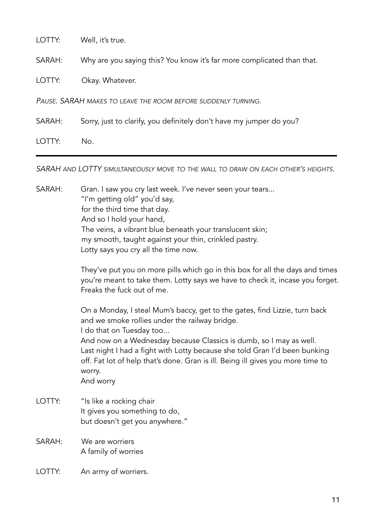LOTTY: Well, it's true.

SARAH: Why are you saying this? You know it's far more complicated than that.

LOTTY: Okay. Whatever.

*PAUSE. SARAH MAKES TO LEAVE THE ROOM BEFORE SUDDENLY TURNING.*

SARAH: Sorry, just to clarify, you definitely don't have my jumper do you?

LOTTY: No.

*SARAH AND LOTTY SIMULTANEOUSLY MOVE TO THE WALL TO DRAW ON EACH OTHER'S HEIGHTS.* 

SARAH: Gran. I saw you cry last week. I've never seen your tears... "I'm getting old" you'd say, for the third time that day. And so I hold your hand, The veins, a vibrant blue beneath your translucent skin; my smooth, taught against your thin, crinkled pastry. Lotty says you cry all the time now.

> They've put you on more pills which go in this box for all the days and times you're meant to take them. Lotty says we have to check it, incase you forget. Freaks the fuck out of me.

 On a Monday, I steal Mum's baccy, get to the gates, find Lizzie, turn back and we smoke rollies under the railway bridge.

I do that on Tuesday too...

 And now on a Wednesday because Classics is dumb, so I may as well. Last night I had a fight with Lotty because she told Gran I'd been bunking off. Fat lot of help that's done. Gran is ill. Being ill gives you more time to worry.

And worry

- LOTTY: "Is like a rocking chair It gives you something to do, but doesn't get you anywhere."
- SARAH: We are worriers A family of worries
- LOTTY: An army of worriers.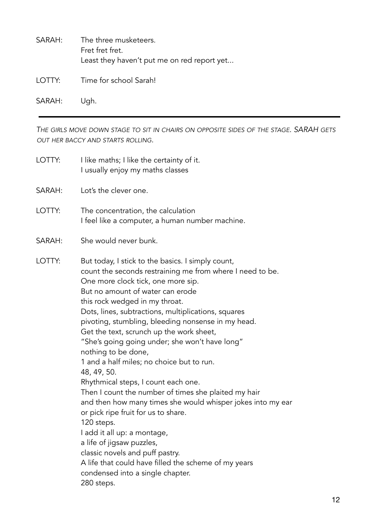| SARAH: | The three musketeers.<br>Fret fret fret.<br>Least they haven't put me on red report yet |
|--------|-----------------------------------------------------------------------------------------|
| LOTTY: | Time for school Sarah!                                                                  |
| SARAH: | Ugh.                                                                                    |

*THE GIRLS MOVE DOWN STAGE TO SIT IN CHAIRS ON OPPOSITE SIDES OF THE STAGE. SARAH GETS OUT HER BACCY AND STARTS ROLLING.* 

| LOTTY: | I like maths; I like the certainty of it.<br>I usually enjoy my maths classes                                                                                                                                                                                                                                                                                                                                                                                                                                                                                                                                                                                                                                                                                                                                                                                                                                                                        |
|--------|------------------------------------------------------------------------------------------------------------------------------------------------------------------------------------------------------------------------------------------------------------------------------------------------------------------------------------------------------------------------------------------------------------------------------------------------------------------------------------------------------------------------------------------------------------------------------------------------------------------------------------------------------------------------------------------------------------------------------------------------------------------------------------------------------------------------------------------------------------------------------------------------------------------------------------------------------|
| SARAH: | Lot's the clever one.                                                                                                                                                                                                                                                                                                                                                                                                                                                                                                                                                                                                                                                                                                                                                                                                                                                                                                                                |
| LOTTY: | The concentration, the calculation<br>I feel like a computer, a human number machine.                                                                                                                                                                                                                                                                                                                                                                                                                                                                                                                                                                                                                                                                                                                                                                                                                                                                |
| SARAH: | She would never bunk.                                                                                                                                                                                                                                                                                                                                                                                                                                                                                                                                                                                                                                                                                                                                                                                                                                                                                                                                |
| LOTTY: | But today, I stick to the basics. I simply count,<br>count the seconds restraining me from where I need to be.<br>One more clock tick, one more sip.<br>But no amount of water can erode<br>this rock wedged in my throat.<br>Dots, lines, subtractions, multiplications, squares<br>pivoting, stumbling, bleeding nonsense in my head.<br>Get the text, scrunch up the work sheet,<br>"She's going going under; she won't have long"<br>nothing to be done,<br>1 and a half miles; no choice but to run.<br>48, 49, 50.<br>Rhythmical steps, I count each one.<br>Then I count the number of times she plaited my hair<br>and then how many times she would whisper jokes into my ear<br>or pick ripe fruit for us to share.<br>120 steps.<br>I add it all up: a montage,<br>a life of jigsaw puzzles,<br>classic novels and puff pastry.<br>A life that could have filled the scheme of my years<br>condensed into a single chapter.<br>280 steps. |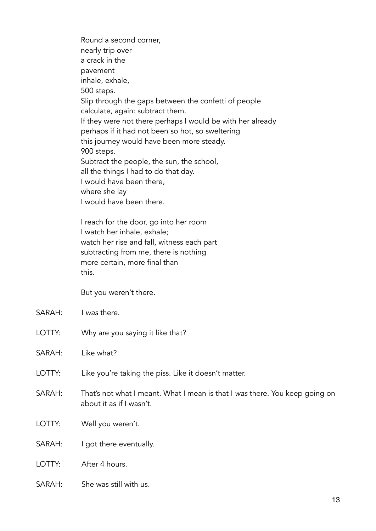Round a second corner, nearly trip over a crack in the pavement inhale, exhale, 500 steps. Slip through the gaps between the confetti of people calculate, again: subtract them. If they were not there perhaps I would be with her already perhaps if it had not been so hot, so sweltering this journey would have been more steady. 900 steps. Subtract the people, the sun, the school, all the things I had to do that day. I would have been there, where she lay I would have been there. I reach for the door, go into her room I watch her inhale, exhale; watch her rise and fall, witness each part subtracting from me, there is nothing more certain, more final than this. But you weren't there. SARAH: I *was* there. LOTTY: Why are you saying it like that? SARAH: Like what?

- LOTTY: Like you're taking the piss. Like it doesn't matter.
- SARAH: That's not what I meant. What I mean is that I *was* there. You keep going on about it as if I wasn't.
- LOTTY: Well you weren't.

SARAH: I got there eventually.

LOTTY: After 4 hours.

SARAH: She was still with us.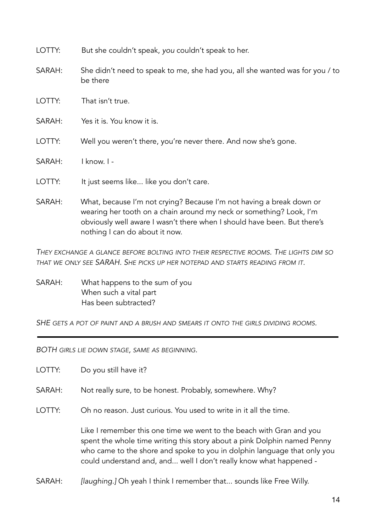| LOTTY: | But she couldn't speak, you couldn't speak to her.                                       |
|--------|------------------------------------------------------------------------------------------|
| SARAH: | She didn't need to speak to me, she had you, all she wanted was for you / to<br>be there |
| LOTTY: | That isn't true.                                                                         |
| SARAH: | Yes it is. You know it is.                                                               |
| LOTTY: | Well you weren't there, you're never there. And now she's gone.                          |
| SARAH: | I know. I -                                                                              |
| LOTTY: | It just seems like like you don't care.                                                  |
|        |                                                                                          |

SARAH: What, because I'm not crying? Because I'm not having a break down or wearing her tooth on a chain around my neck or something? Look, I'm obviously well aware I wasn't there when I should have been. But there's nothing I can do about it now.

*THEY EXCHANGE A GLANCE BEFORE BOLTING INTO THEIR RESPECTIVE ROOMS. THE LIGHTS DIM SO THAT WE ONLY SEE SARAH. SHE PICKS UP HER NOTEPAD AND STARTS READING FROM IT.* 

SARAH: What happens to the sum of you When such a vital part Has been subtracted?

*SHE GETS A POT OF PAINT AND A BRUSH AND SMEARS IT ONTO THE GIRLS DIVIDING ROOMS.* 

*BOTH GIRLS LIE DOWN STAGE, SAME AS BEGINNING.* 

| LOTTY: | Do you still have it?                                                                                                                                                                                                                                                                              |
|--------|----------------------------------------------------------------------------------------------------------------------------------------------------------------------------------------------------------------------------------------------------------------------------------------------------|
| SARAH: | Not really sure, to be honest. Probably, somewhere. Why?                                                                                                                                                                                                                                           |
| LOTTY: | Oh no reason. Just curious. You used to write in it all the time.                                                                                                                                                                                                                                  |
|        | Like I remember this one time we went to the beach with Gran and you<br>spent the whole time writing this story about a pink Dolphin named Penny<br>who came to the shore and spoke to you in dolphin language that only you<br>could understand and, and well I don't really know what happened - |
|        |                                                                                                                                                                                                                                                                                                    |

SARAH: *[laughing.]* Oh yeah I think I remember that... sounds like Free Willy.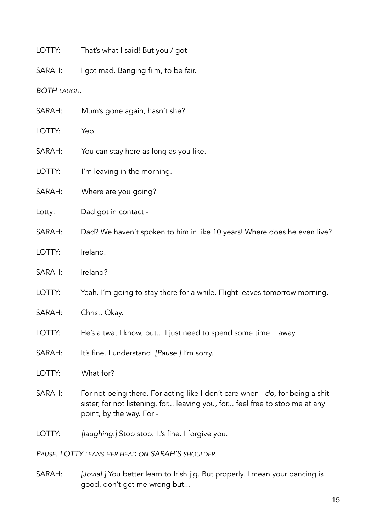LOTTY: That's what I said! But you / got -

SARAH: I got mad. Banging film, to be fair.

*BOTH LAUGH.* 

| SARAH:                                           | Mum's gone again, hasn't she?                                                                                                                                                            |
|--------------------------------------------------|------------------------------------------------------------------------------------------------------------------------------------------------------------------------------------------|
| LOTTY:                                           | Yep.                                                                                                                                                                                     |
| SARAH:                                           | You can stay here as long as you like.                                                                                                                                                   |
| LOTTY:                                           | I'm leaving in the morning.                                                                                                                                                              |
| SARAH:                                           | Where are you going?                                                                                                                                                                     |
| Lotty:                                           | Dad got in contact -                                                                                                                                                                     |
| SARAH:                                           | Dad? We haven't spoken to him in like 10 years! Where does he even live?                                                                                                                 |
| LOTTY:                                           | Ireland.                                                                                                                                                                                 |
| SARAH:                                           | Ireland?                                                                                                                                                                                 |
| LOTTY:                                           | Yeah. I'm going to stay there for a while. Flight leaves tomorrow morning.                                                                                                               |
| SARAH:                                           | Christ. Okay.                                                                                                                                                                            |
| LOTTY:                                           | He's a twat I know, but I just need to spend some time away.                                                                                                                             |
| SARAH:                                           | It's fine. I understand. [Pause.] I'm sorry.                                                                                                                                             |
| LOTTY:                                           | What for?                                                                                                                                                                                |
| SARAH:                                           | For not being there. For acting like I don't care when I do, for being a shit<br>sister, for not listening, for leaving you, for feel free to stop me at any<br>point, by the way. For - |
| LOTTY:                                           | [laughing.] Stop stop. It's fine. I forgive you.                                                                                                                                         |
| PAUSE. LOTTY LEANS HER HEAD ON SARAH'S SHOULDER. |                                                                                                                                                                                          |

SARAH: *[Jovial.]* You better learn to Irish jig. But properly. I mean your dancing is good, don't get me wrong but...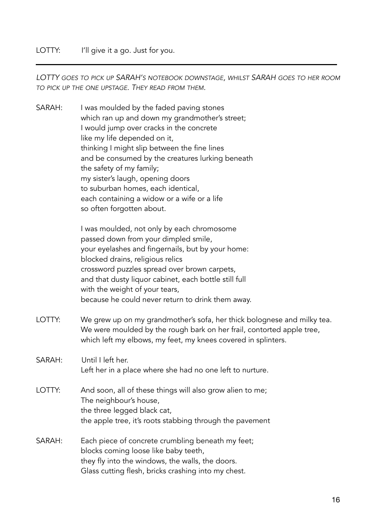LOTTY: I'll give it a go. Just for you.

*LOTTY GOES TO PICK UP SARAH'S NOTEBOOK DOWNSTAGE, WHILST SARAH GOES TO HER ROOM TO PICK UP THE ONE UPSTAGE. THEY READ FROM THEM.* 

SARAH: I was moulded by the faded paving stones which ran up and down my grandmother's street; I would jump over cracks in the concrete like my life depended on it, thinking I might slip between the fine lines and be consumed by the creatures lurking beneath the safety of my family; my sister's laugh, opening doors to suburban homes, each identical, each containing a widow or a wife or a life so often forgotten about.

> I was moulded, not only by each chromosome passed down from your dimpled smile, your eyelashes and fingernails, but by your home: blocked drains, religious relics crossword puzzles spread over brown carpets, and that dusty liquor cabinet, each bottle still full with the weight of your tears, because he could never return to drink them away.

- LOTTY: We grew up on my grandmother's sofa, her thick bolognese and milky tea. We were moulded by the rough bark on her frail, contorted apple tree, which left my elbows, my feet, my knees covered in splinters.
- SARAH: Until I left her. Left her in a place where she had no one left to nurture.
- LOTTY: And soon, all of these things will also grow alien to me; The neighbour's house, the three legged black cat, the apple tree, it's roots stabbing through the pavement
- SARAH: Each piece of concrete crumbling beneath my feet; blocks coming loose like baby teeth, they fly into the windows, the walls, the doors. Glass cutting flesh, bricks crashing into my chest.